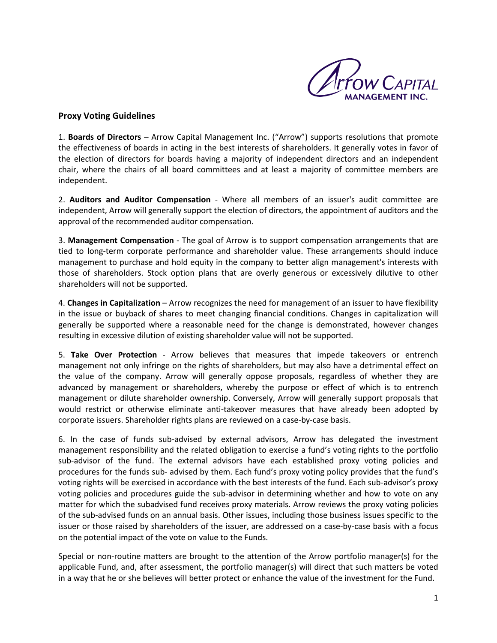

## **Proxy Voting Guidelines**

1. **Boards of Directors** – Arrow Capital Management Inc. ("Arrow") supports resolutions that promote the effectiveness of boards in acting in the best interests of shareholders. It generally votes in favor of the election of directors for boards having a majority of independent directors and an independent chair, where the chairs of all board committees and at least a majority of committee members are independent.

2. **Auditors and Auditor Compensation** - Where all members of an issuer's audit committee are independent, Arrow will generally support the election of directors, the appointment of auditors and the approval of the recommended auditor compensation.

3. **Management Compensation** - The goal of Arrow is to support compensation arrangements that are tied to long-term corporate performance and shareholder value. These arrangements should induce management to purchase and hold equity in the company to better align management's interests with those of shareholders. Stock option plans that are overly generous or excessively dilutive to other shareholders will not be supported.

4. **Changes in Capitalization** – Arrow recognizes the need for management of an issuer to have flexibility in the issue or buyback of shares to meet changing financial conditions. Changes in capitalization will generally be supported where a reasonable need for the change is demonstrated, however changes resulting in excessive dilution of existing shareholder value will not be supported.

5. **Take Over Protection** - Arrow believes that measures that impede takeovers or entrench management not only infringe on the rights of shareholders, but may also have a detrimental effect on the value of the company. Arrow will generally oppose proposals, regardless of whether they are advanced by management or shareholders, whereby the purpose or effect of which is to entrench management or dilute shareholder ownership. Conversely, Arrow will generally support proposals that would restrict or otherwise eliminate anti-takeover measures that have already been adopted by corporate issuers. Shareholder rights plans are reviewed on a case-by-case basis.

6. In the case of funds sub-advised by external advisors, Arrow has delegated the investment management responsibility and the related obligation to exercise a fund's voting rights to the portfolio sub-advisor of the fund. The external advisors have each established proxy voting policies and procedures for the funds sub- advised by them. Each fund's proxy voting policy provides that the fund's voting rights will be exercised in accordance with the best interests of the fund. Each sub-advisor's proxy voting policies and procedures guide the sub-advisor in determining whether and how to vote on any matter for which the subadvised fund receives proxy materials. Arrow reviews the proxy voting policies of the sub-advised funds on an annual basis. Other issues, including those business issues specific to the issuer or those raised by shareholders of the issuer, are addressed on a case-by-case basis with a focus on the potential impact of the vote on value to the Funds.

Special or non-routine matters are brought to the attention of the Arrow portfolio manager(s) for the applicable Fund, and, after assessment, the portfolio manager(s) will direct that such matters be voted in a way that he or she believes will better protect or enhance the value of the investment for the Fund.